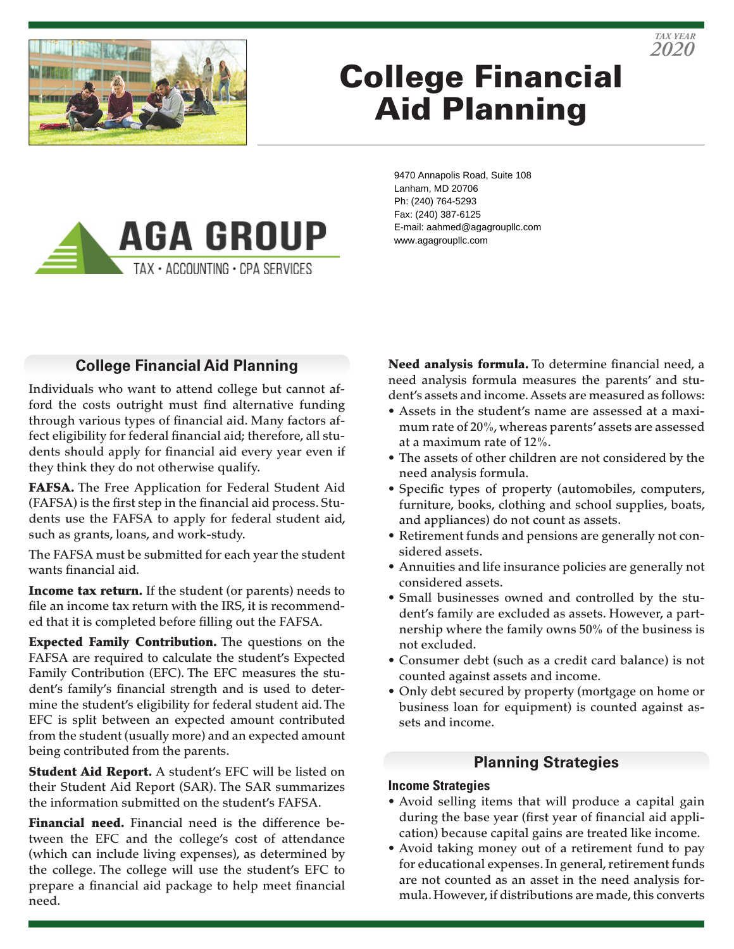

# College Financial Aid Planning



9470 Annapolis Road, Suite 108 Lanham, MD 20706 Ph: (240) 764-5293 Fax: (240) 387-6125 E-mail: aahmed@agagroupllc.com www.agagroupllc.com

# **College Financial Aid Planning**

Individuals who want to attend college but cannot afford the costs outright must find alternative funding through various types of financial aid. Many factors affect eligibility for federal financial aid; therefore, all students should apply for financial aid every year even if they think they do not otherwise qualify.

FAFSA. The Free Application for Federal Student Aid (FAFSA) is the first step in the financial aid process. Students use the FAFSA to apply for federal student aid, such as grants, loans, and work-study.

The FAFSA must be submitted for each year the student wants financial aid.

**Income tax return.** If the student (or parents) needs to file an income tax return with the IRS, it is recommended that it is completed before filling out the FAFSA.

**Expected Family Contribution.** The questions on the FAFSA are required to calculate the student's Expected Family Contribution (EFC). The EFC measures the student's family's financial strength and is used to determine the student's eligibility for federal student aid. The EFC is split between an expected amount contributed from the student (usually more) and an expected amount being contributed from the parents.

Student Aid Report. A student's EFC will be listed on their Student Aid Report (SAR). The SAR summarizes the information submitted on the student's FAFSA.

Financial need. Financial need is the difference between the EFC and the college's cost of attendance (which can include living expenses), as determined by the college. The college will use the student's EFC to prepare a financial aid package to help meet financial need.

Need analysis formula. To determine financial need, a need analysis formula measures the parents' and student's assets and income. Assets are measured as follows:

*2020 TAX YEAR*

- Assets in the student's name are assessed at a maximum rate of 20%, whereas parents' assets are assessed at a maximum rate of 12%.
- The assets of other children are not considered by the need analysis formula.
- Specific types of property (automobiles, computers, furniture, books, clothing and school supplies, boats, and appliances) do not count as assets.
- Retirement funds and pensions are generally not considered assets.
- Annuities and life insurance policies are generally not considered assets.
- Small businesses owned and controlled by the student's family are excluded as assets. However, a partnership where the family owns 50% of the business is not excluded.
- Consumer debt (such as a credit card balance) is not counted against assets and income.
- Only debt secured by property (mortgage on home or business loan for equipment) is counted against assets and income.

# **Planning Strategies**

#### **Income Strategies**

- Avoid selling items that will produce a capital gain during the base year (first year of financial aid application) because capital gains are treated like income.
- Avoid taking money out of a retirement fund to pay for educational expenses. In general, retirement funds are not counted as an asset in the need analysis formula. However, if distributions are made, this converts